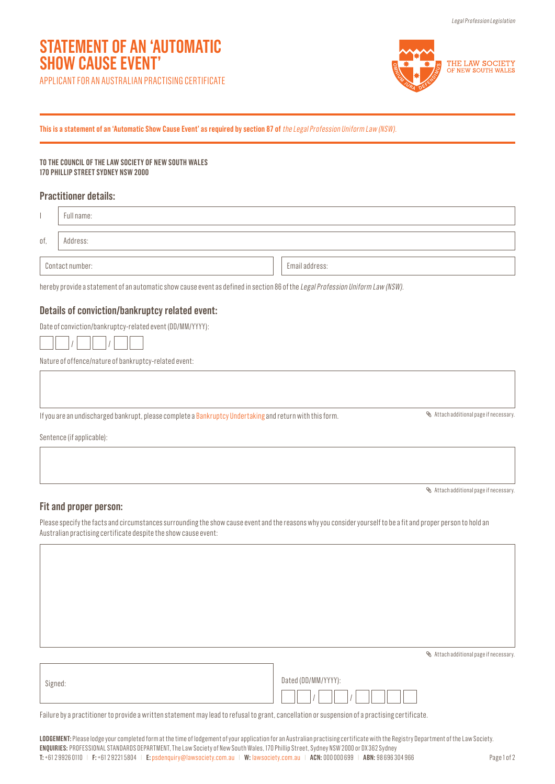# **STATEMENT OF AN 'AUTOMATIC SHOW CAUSE EVENT'**

APPLICANT FOR AN AUSTRALIAN PRACTISING CERTIFICATE



**This is a statement of an 'Automatic Show Cause Event' as required by section 87 of** the Legal Profession Uniform Law (NSW).

**TO THE COUNCIL OF THE LAW SOCIETY OF NEW SOUTH WALES 170 PHILLIP STREET SYDNEY NSW 2000**

## **Practitioner details:**

|                                                                                                                                 | Full name: |  |                |                                      |  |
|---------------------------------------------------------------------------------------------------------------------------------|------------|--|----------------|--------------------------------------|--|
| of,                                                                                                                             | Address:   |  |                |                                      |  |
| Contact number:                                                                                                                 |            |  | Email address: |                                      |  |
| hereby provide a statement of an automatic show cause event as defined in section 86 of the Legal Profession Uniform Law (NSW). |            |  |                |                                      |  |
| Details of conviction/bankruptcy related event:                                                                                 |            |  |                |                                      |  |
| Date of conviction/bankruptcy-related event (DD/MM/YYYY):                                                                       |            |  |                |                                      |  |
|                                                                                                                                 |            |  |                |                                      |  |
| Nature of offence/nature of bankruptcy-related event:                                                                           |            |  |                |                                      |  |
|                                                                                                                                 |            |  |                |                                      |  |
| If you are an undischarged bankrupt, please complete a Bankruptcy Undertaking and return with this form.                        |            |  |                | Attach additional page if necessary. |  |
| Sentence (if applicable):                                                                                                       |            |  |                |                                      |  |
|                                                                                                                                 |            |  |                |                                      |  |
|                                                                                                                                 |            |  |                |                                      |  |

## **Fit and proper person:**

Please specify the facts and circumstances surrounding the show cause event and the reasons why you consider yourself to be a fit and proper person to hold an Australian practising certificate despite the show cause event:

Attach additional page if necessary.

Attach additional page if necessary.

| Signed: | Dated (DD/MM/YYYY): |
|---------|---------------------|
|         |                     |

Failure by a practitioner to provide a written statement may lead to refusal to grant, cancellation or suspension of a practising certificate.